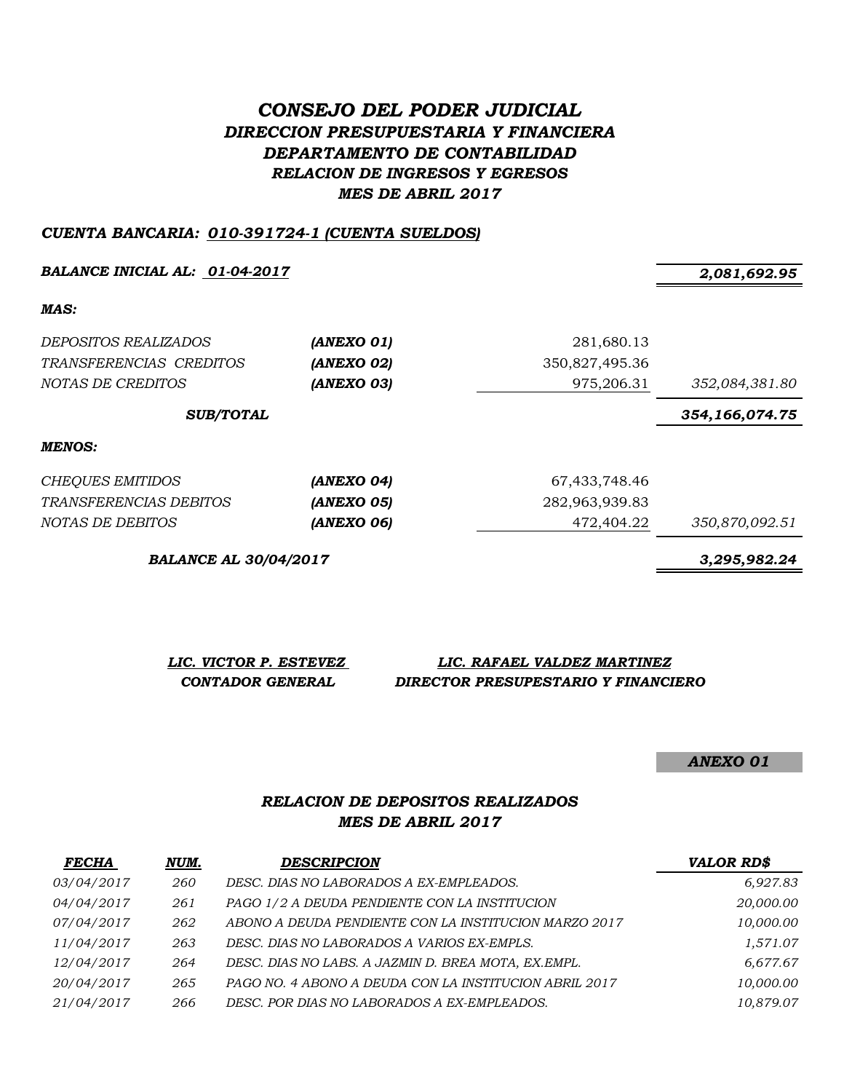# *CONSEJO DEL PODER JUDICIAL DIRECCION PRESUPUESTARIA Y FINANCIERA DEPARTAMENTO DE CONTABILIDAD RELACION DE INGRESOS Y EGRESOS MES DE ABRIL 2017*

#### *CUENTA BANCARIA: 010-391724-1 (CUENTA SUELDOS)*

*BALANCE INICIAL AL: 01-04-2017 2,081,692.95*

*MAS:*

| <i>DEPOSITOS REALIZADOS</i><br>TRANSFERENCIAS CREDITOS<br>NOTAS DE CREDITOS | (ANEXO 01)<br>(ANEXO 02)<br>(ANEXO 03) | 281,680.13<br>350,827,495.36<br>975,206.31 | 352,084,381.80 |
|-----------------------------------------------------------------------------|----------------------------------------|--------------------------------------------|----------------|
| <b>SUB/TOTAL</b>                                                            |                                        |                                            | 354,166,074.75 |
| MENOS:                                                                      |                                        |                                            |                |
| <b>CHEQUES EMITIDOS</b>                                                     | (ANEXO 04)                             | 67,433,748.46                              |                |
| TRANSFERENCIAS DEBITOS                                                      | (ANEXO 05)                             | 282,963,939.83                             |                |
| NOTAS DE DEBITOS                                                            | (ANEXO 06)                             | 472,404.22                                 | 350,870,092.51 |

*BALANCE AL 30/04/2017 3,295,982.24*

*LIC. VICTOR P. ESTEVEZ LIC. RAFAEL VALDEZ MARTINEZ CONTADOR GENERAL DIRECTOR PRESUPESTARIO Y FINANCIERO*

*ANEXO 01*

# *RELACION DE DEPOSITOS REALIZADOS MES DE ABRIL 2017*

| <b>FECHA</b> | NUM. | <b>DESCRIPCION</b>                                     | <b>VALOR RD\$</b> |
|--------------|------|--------------------------------------------------------|-------------------|
| 03/04/2017   | 260  | DESC. DIAS NO LABORADOS A EX-EMPLEADOS.                | 6,927.83          |
| 04/04/2017   | 261  | PAGO 1/2 A DEUDA PENDIENTE CON LA INSTITUCION          | 20,000.00         |
| 07/04/2017   | 262  | ABONO A DEUDA PENDIENTE CON LA INSTITUCION MARZO 2017  | 10,000.00         |
| 11/04/2017   | 263  | DESC. DIAS NO LABORADOS A VARIOS EX-EMPLS.             | 1,571.07          |
| 12/04/2017   | 264  | DESC. DIAS NO LABS. A JAZMIN D. BREA MOTA, EX.EMPL.    | 6,677.67          |
| 20/04/2017   | 265  | PAGO NO. 4 ABONO A DEUDA CON LA INSTITUCION ABRIL 2017 | 10,000.00         |
| 21/04/2017   | 266  | DESC. POR DIAS NO LABORADOS A EX-EMPLEADOS.            | 10.879.07         |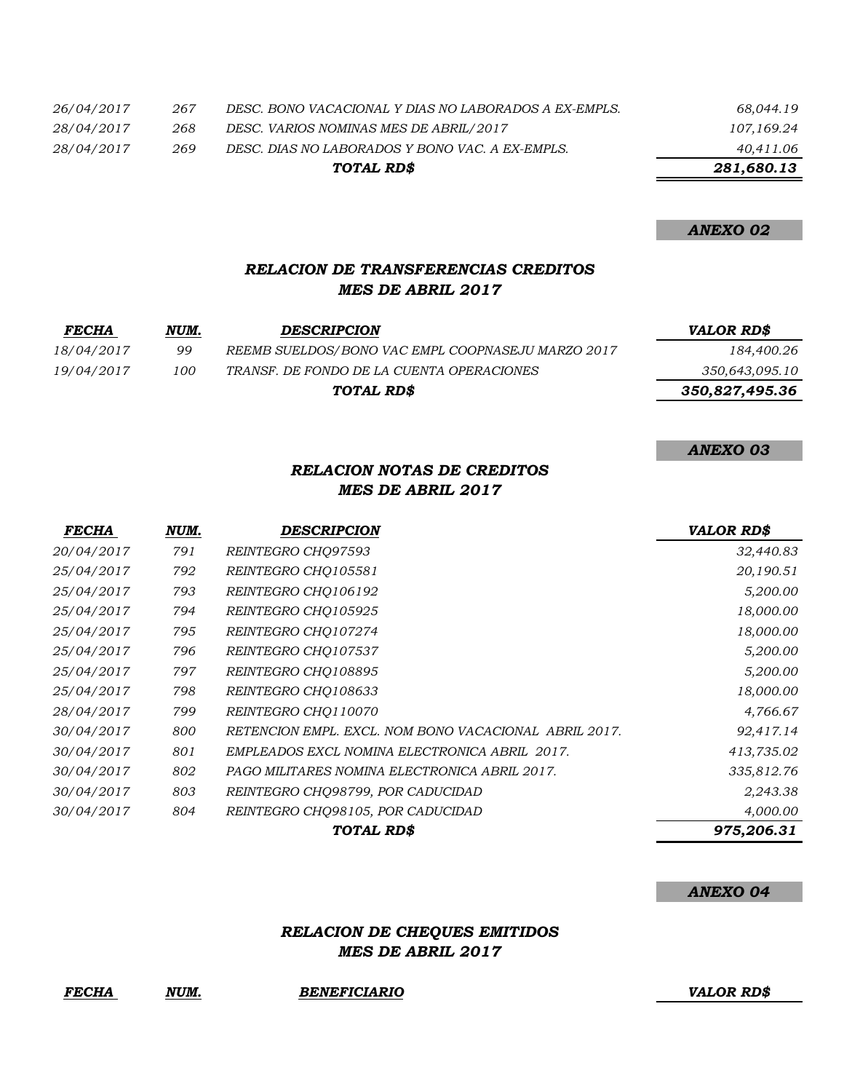|            |     | TOTAL RD\$                                            | 281,680.13 |
|------------|-----|-------------------------------------------------------|------------|
| 28/04/2017 | 269 | DESC. DIAS NO LABORADOS Y BONO VAC. A EX-EMPLS.       | 40,411.06  |
| 28/04/2017 | 268 | DESC. VARIOS NOMINAS MES DE ABRIL/2017                | 107,169.24 |
| 26/04/2017 | 267 | DESC. BONO VACACIONAL Y DIAS NO LABORADOS A EX-EMPLS. | 68,044.19  |

*ANEXO 02*

#### *RELACION DE TRANSFERENCIAS CREDITOS MES DE ABRIL 2017*

| <b>FECHA</b> | NUM. | <b>DESCRIPCION</b>                                | VALOR RD\$     |
|--------------|------|---------------------------------------------------|----------------|
| 18/04/2017   | 99   | REEMB SUELDOS/BONO VAC EMPL COOPNASEJU MARZO 2017 | 184,400.26     |
| 19/04/2017   | 100  | TRANSF. DE FONDO DE LA CUENTA OPERACIONES         | 350,643,095.10 |
|              |      | TOTAL RD\$                                        | 350,827,495.36 |

*ANEXO 03*

# *RELACION NOTAS DE CREDITOS MES DE ABRIL 2017*

| <b>FECHA</b>      | NUM. | DESCRIPCION                                           | <b>VALOR RD\$</b> |
|-------------------|------|-------------------------------------------------------|-------------------|
| <i>20/04/2017</i> | 791  | REINTEGRO CHO97593                                    | 32,440.83         |
| 25/04/2017        | 792  | REINTEGRO CHO105581                                   | 20,190.51         |
| 25/04/2017        | 793  | REINTEGRO CHO106192                                   | 5,200.00          |
| 25/04/2017        | 794  | REINTEGRO CHO105925                                   | 18,000.00         |
| 25/04/2017        | 795  | REINTEGRO CHO107274                                   | 18,000.00         |
| 25/04/2017        | 796  | REINTEGRO CHO107537                                   | 5,200.00          |
| 25/04/2017        | 797  | REINTEGRO CHO108895                                   | 5,200.00          |
| 25/04/2017        | 798  | REINTEGRO CHO108633                                   | 18,000.00         |
| 28/04/2017        | 799  | REINTEGRO CHO110070                                   | 4,766.67          |
| 30/04/2017        | 800  | RETENCION EMPL. EXCL. NOM BONO VACACIONAL ABRIL 2017. | 92,417.14         |
| 30/04/2017        | 801  | EMPLEADOS EXCL NOMINA ELECTRONICA ABRIL 2017.         | 413,735.02        |
| 30/04/2017        | 802  | PAGO MILITARES NOMINA ELECTRONICA ABRIL 2017.         | 335,812.76        |
| 30/04/2017        | 803  | REINTEGRO CHQ98799, POR CADUCIDAD                     | 2,243.38          |
| 30/04/2017        | 804  | REINTEGRO CHQ98105, POR CADUCIDAD                     | 4,000.00          |
|                   |      | TOTAL RD\$                                            | 975,206.31        |

#### *ANEXO 04*

# *RELACION DE CHEQUES EMITIDOS MES DE ABRIL 2017*

*FECHA NUM. BENEFICIARIO VALOR RD\$*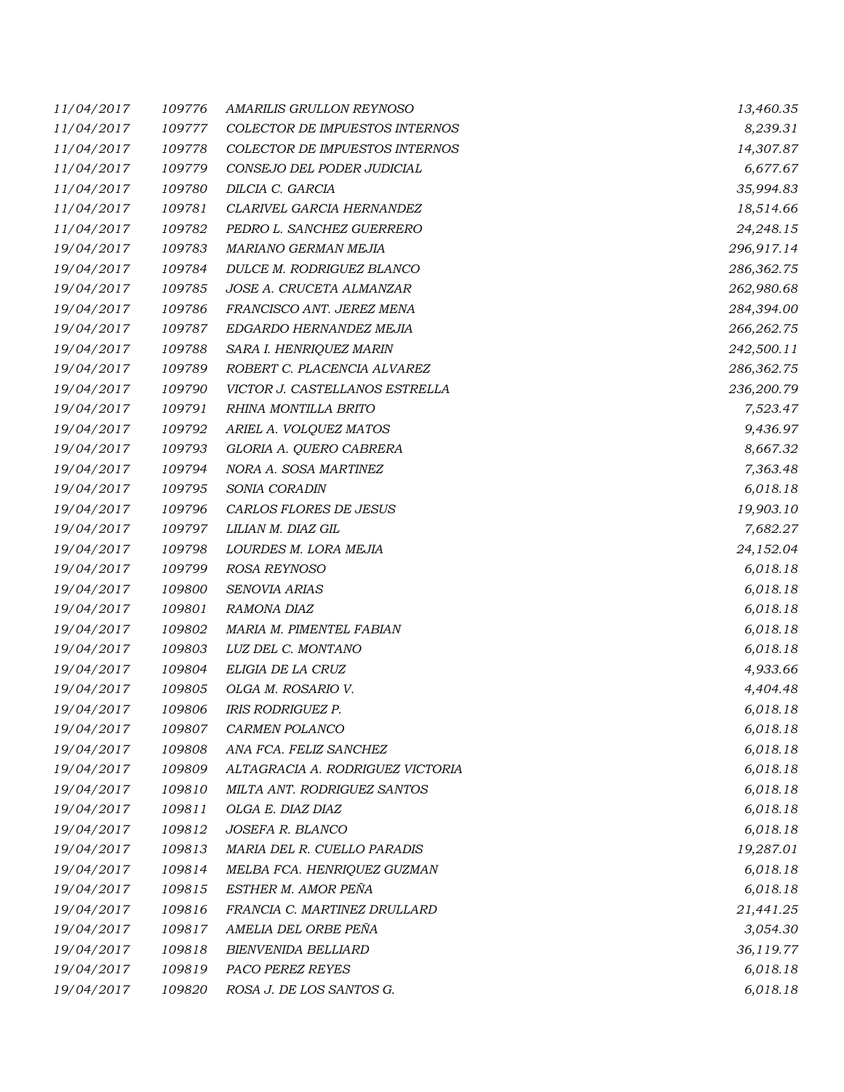| 11/04/2017 | 109776 | AMARILIS GRULLON REYNOSO         | 13,460.35  |
|------------|--------|----------------------------------|------------|
| 11/04/2017 | 109777 | COLECTOR DE IMPUESTOS INTERNOS   | 8,239.31   |
| 11/04/2017 | 109778 | COLECTOR DE IMPUESTOS INTERNOS   | 14,307.87  |
| 11/04/2017 | 109779 | CONSEJO DEL PODER JUDICIAL       | 6,677.67   |
| 11/04/2017 | 109780 | DILCIA C. GARCIA                 | 35,994.83  |
| 11/04/2017 | 109781 | CLARIVEL GARCIA HERNANDEZ        | 18,514.66  |
| 11/04/2017 | 109782 | PEDRO L. SANCHEZ GUERRERO        | 24,248.15  |
| 19/04/2017 | 109783 | MARIANO GERMAN MEJIA             | 296,917.14 |
| 19/04/2017 | 109784 | DULCE M. RODRIGUEZ BLANCO        | 286,362.75 |
| 19/04/2017 | 109785 | JOSE A. CRUCETA ALMANZAR         | 262,980.68 |
| 19/04/2017 | 109786 | FRANCISCO ANT. JEREZ MENA        | 284,394.00 |
| 19/04/2017 | 109787 | EDGARDO HERNANDEZ MEJIA          | 266,262.75 |
| 19/04/2017 | 109788 | SARA I. HENRIQUEZ MARIN          | 242,500.11 |
| 19/04/2017 | 109789 | ROBERT C. PLACENCIA ALVAREZ      | 286,362.75 |
| 19/04/2017 | 109790 | VICTOR J. CASTELLANOS ESTRELLA   | 236,200.79 |
| 19/04/2017 | 109791 | RHINA MONTILLA BRITO             | 7,523.47   |
| 19/04/2017 | 109792 | ARIEL A. VOLQUEZ MATOS           | 9,436.97   |
| 19/04/2017 | 109793 | GLORIA A. QUERO CABRERA          | 8,667.32   |
| 19/04/2017 | 109794 | NORA A. SOSA MARTINEZ            | 7,363.48   |
| 19/04/2017 | 109795 | SONIA CORADIN                    | 6,018.18   |
| 19/04/2017 | 109796 | CARLOS FLORES DE JESUS           | 19,903.10  |
| 19/04/2017 | 109797 | LILIAN M. DIAZ GIL               | 7,682.27   |
| 19/04/2017 | 109798 | LOURDES M. LORA MEJIA            | 24,152.04  |
| 19/04/2017 | 109799 | ROSA REYNOSO                     | 6,018.18   |
| 19/04/2017 | 109800 | SENOVIA ARIAS                    | 6,018.18   |
| 19/04/2017 | 109801 | RAMONA DIAZ                      | 6,018.18   |
| 19/04/2017 | 109802 | MARIA M. PIMENTEL FABIAN         | 6,018.18   |
| 19/04/2017 | 109803 | LUZ DEL C. MONTANO               | 6,018.18   |
| 19/04/2017 | 109804 | ELIGIA DE LA CRUZ                | 4,933.66   |
| 19/04/2017 | 109805 | OLGA M. ROSARIO V.               | 4,404.48   |
| 19/04/2017 | 109806 | IRIS RODRIGUEZ P.                | 6,018.18   |
| 19/04/2017 | 109807 | CARMEN POLANCO                   | 6,018.18   |
| 19/04/2017 | 109808 | ANA FCA. FELIZ SANCHEZ           | 6,018.18   |
| 19/04/2017 | 109809 | ALTAGRACIA A. RODRIGUEZ VICTORIA | 6,018.18   |
| 19/04/2017 | 109810 | MILTA ANT. RODRIGUEZ SANTOS      | 6,018.18   |
| 19/04/2017 | 109811 | OLGA E. DIAZ DIAZ                | 6,018.18   |
| 19/04/2017 | 109812 | JOSEFA R. BLANCO                 | 6,018.18   |
| 19/04/2017 | 109813 | MARIA DEL R. CUELLO PARADIS      | 19,287.01  |
| 19/04/2017 | 109814 | MELBA FCA. HENRIQUEZ GUZMAN      | 6,018.18   |
| 19/04/2017 | 109815 | ESTHER M. AMOR PEÑA              | 6,018.18   |
| 19/04/2017 | 109816 | FRANCIA C. MARTINEZ DRULLARD     | 21,441.25  |
| 19/04/2017 | 109817 | AMELIA DEL ORBE PEÑA             | 3,054.30   |
| 19/04/2017 | 109818 | <b>BIENVENIDA BELLIARD</b>       | 36,119.77  |
| 19/04/2017 | 109819 | PACO PEREZ REYES                 | 6,018.18   |
| 19/04/2017 | 109820 | ROSA J. DE LOS SANTOS G.         | 6,018.18   |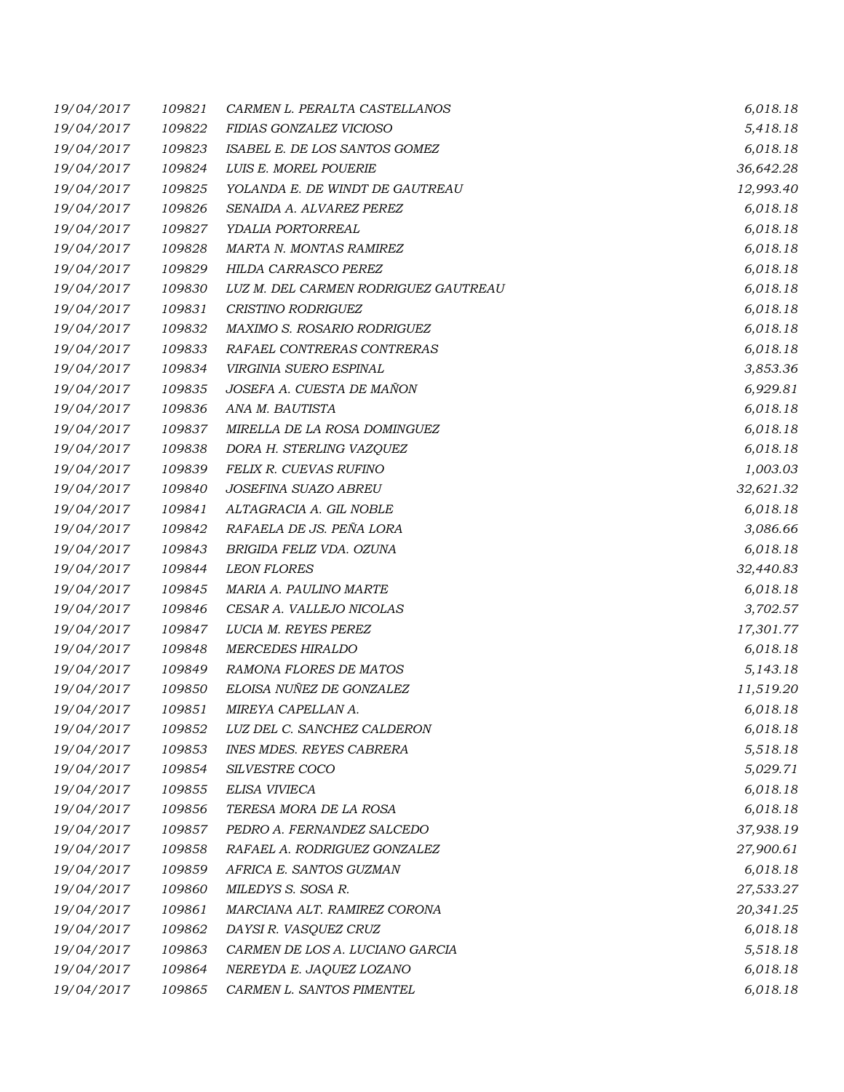| 19/04/2017 | 109821 | CARMEN L. PERALTA CASTELLANOS        | 6,018.18  |
|------------|--------|--------------------------------------|-----------|
| 19/04/2017 | 109822 | FIDIAS GONZALEZ VICIOSO              | 5,418.18  |
| 19/04/2017 | 109823 | ISABEL E. DE LOS SANTOS GOMEZ        | 6,018.18  |
| 19/04/2017 | 109824 | LUIS E. MOREL POUERIE                | 36,642.28 |
| 19/04/2017 | 109825 | YOLANDA E. DE WINDT DE GAUTREAU      | 12,993.40 |
| 19/04/2017 | 109826 | SENAIDA A. ALVAREZ PEREZ             | 6,018.18  |
| 19/04/2017 | 109827 | YDALIA PORTORREAL                    | 6,018.18  |
| 19/04/2017 | 109828 | MARTA N. MONTAS RAMIREZ              | 6,018.18  |
| 19/04/2017 | 109829 | HILDA CARRASCO PEREZ                 | 6,018.18  |
| 19/04/2017 | 109830 | LUZ M. DEL CARMEN RODRIGUEZ GAUTREAU | 6,018.18  |
| 19/04/2017 | 109831 | CRISTINO RODRIGUEZ                   | 6,018.18  |
| 19/04/2017 | 109832 | MAXIMO S. ROSARIO RODRIGUEZ          | 6,018.18  |
| 19/04/2017 | 109833 | RAFAEL CONTRERAS CONTRERAS           | 6,018.18  |
| 19/04/2017 | 109834 | VIRGINIA SUERO ESPINAL               | 3,853.36  |
| 19/04/2017 | 109835 | JOSEFA A. CUESTA DE MAÑON            | 6,929.81  |
| 19/04/2017 | 109836 | ANA M. BAUTISTA                      | 6,018.18  |
| 19/04/2017 | 109837 | MIRELLA DE LA ROSA DOMINGUEZ         | 6,018.18  |
| 19/04/2017 | 109838 | DORA H. STERLING VAZQUEZ             | 6,018.18  |
| 19/04/2017 | 109839 | FELIX R. CUEVAS RUFINO               | 1,003.03  |
| 19/04/2017 | 109840 | JOSEFINA SUAZO ABREU                 | 32,621.32 |
| 19/04/2017 | 109841 | ALTAGRACIA A. GIL NOBLE              | 6,018.18  |
| 19/04/2017 | 109842 | RAFAELA DE JS. PEÑA LORA             | 3,086.66  |
| 19/04/2017 | 109843 | BRIGIDA FELIZ VDA. OZUNA             | 6,018.18  |
| 19/04/2017 | 109844 | <b>LEON FLORES</b>                   | 32,440.83 |
| 19/04/2017 | 109845 | MARIA A. PAULINO MARTE               | 6,018.18  |
| 19/04/2017 | 109846 | CESAR A. VALLEJO NICOLAS             | 3,702.57  |
| 19/04/2017 | 109847 | LUCIA M. REYES PEREZ                 | 17,301.77 |
| 19/04/2017 | 109848 | <b>MERCEDES HIRALDO</b>              | 6,018.18  |
| 19/04/2017 | 109849 | RAMONA FLORES DE MATOS               | 5,143.18  |
| 19/04/2017 | 109850 | ELOISA NUÑEZ DE GONZALEZ             | 11,519.20 |
| 19/04/2017 | 109851 | MIREYA CAPELLAN A.                   | 6,018.18  |
| 19/04/2017 | 109852 | LUZ DEL C. SANCHEZ CALDERON          | 6,018.18  |
| 19/04/2017 | 109853 | <b>INES MDES. REYES CABRERA</b>      | 5,518.18  |
| 19/04/2017 | 109854 | SILVESTRE COCO                       | 5,029.71  |
| 19/04/2017 | 109855 | ELISA VIVIECA                        | 6,018.18  |
| 19/04/2017 | 109856 | TERESA MORA DE LA ROSA               | 6,018.18  |
| 19/04/2017 | 109857 | PEDRO A. FERNANDEZ SALCEDO           | 37,938.19 |
| 19/04/2017 | 109858 | RAFAEL A. RODRIGUEZ GONZALEZ         | 27,900.61 |
| 19/04/2017 | 109859 | AFRICA E. SANTOS GUZMAN              | 6,018.18  |
| 19/04/2017 | 109860 | MILEDYS S. SOSA R.                   | 27,533.27 |
| 19/04/2017 | 109861 | MARCIANA ALT. RAMIREZ CORONA         | 20,341.25 |
| 19/04/2017 | 109862 | DAYSI R. VASQUEZ CRUZ                | 6,018.18  |
| 19/04/2017 | 109863 | CARMEN DE LOS A. LUCIANO GARCIA      | 5,518.18  |
| 19/04/2017 | 109864 | NEREYDA E. JAQUEZ LOZANO             | 6,018.18  |
| 19/04/2017 | 109865 | CARMEN L. SANTOS PIMENTEL            | 6,018.18  |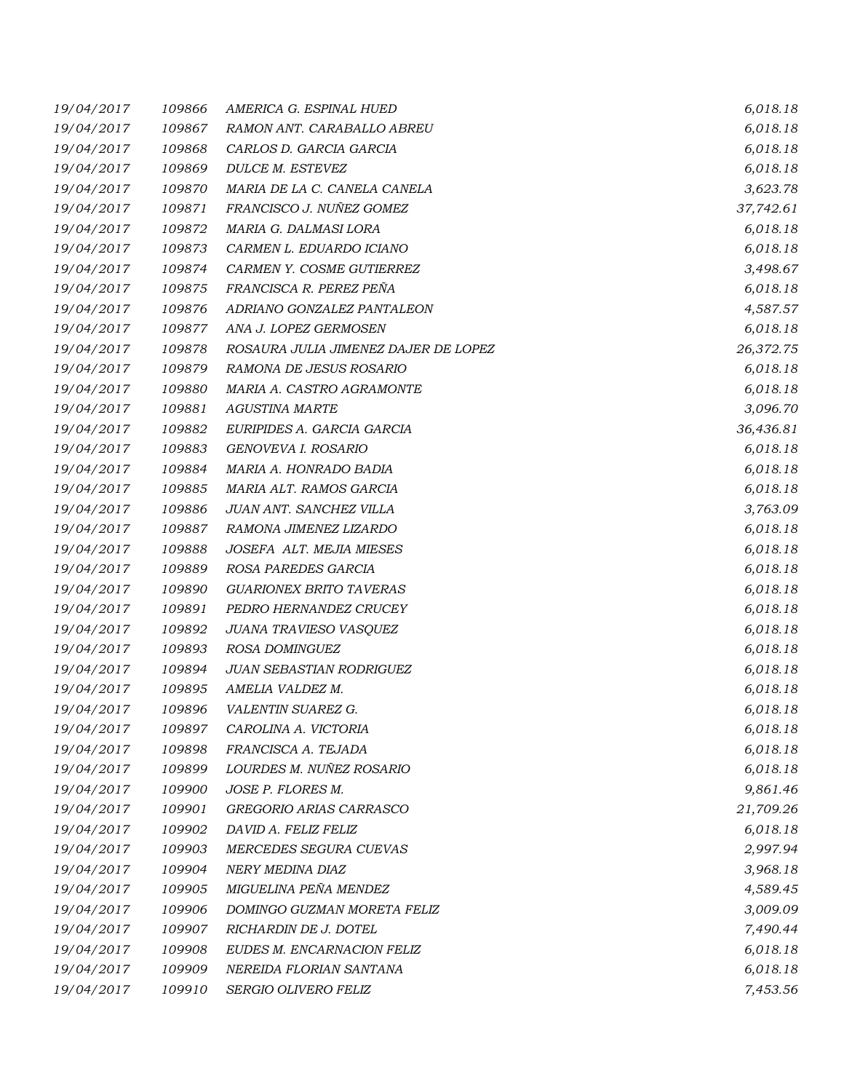| 19/04/2017 | 109866 | AMERICA G. ESPINAL HUED              | 6,018.18  |
|------------|--------|--------------------------------------|-----------|
| 19/04/2017 | 109867 | RAMON ANT. CARABALLO ABREU           | 6,018.18  |
| 19/04/2017 | 109868 | CARLOS D. GARCIA GARCIA              | 6,018.18  |
| 19/04/2017 | 109869 | DULCE M. ESTEVEZ                     | 6,018.18  |
| 19/04/2017 | 109870 | MARIA DE LA C. CANELA CANELA         | 3,623.78  |
| 19/04/2017 | 109871 | FRANCISCO J. NUÑEZ GOMEZ             | 37,742.61 |
| 19/04/2017 | 109872 | MARIA G. DALMASI LORA                | 6,018.18  |
| 19/04/2017 | 109873 | CARMEN L. EDUARDO ICIANO             | 6,018.18  |
| 19/04/2017 | 109874 | CARMEN Y. COSME GUTIERREZ            | 3,498.67  |
| 19/04/2017 | 109875 | FRANCISCA R. PEREZ PEÑA              | 6,018.18  |
| 19/04/2017 | 109876 | ADRIANO GONZALEZ PANTALEON           | 4,587.57  |
| 19/04/2017 | 109877 | ANA J. LOPEZ GERMOSEN                | 6,018.18  |
| 19/04/2017 | 109878 | ROSAURA JULIA JIMENEZ DAJER DE LOPEZ | 26,372.75 |
| 19/04/2017 | 109879 | RAMONA DE JESUS ROSARIO              | 6,018.18  |
| 19/04/2017 | 109880 | MARIA A. CASTRO AGRAMONTE            | 6,018.18  |
| 19/04/2017 | 109881 | <b>AGUSTINA MARTE</b>                | 3,096.70  |
| 19/04/2017 | 109882 | EURIPIDES A. GARCIA GARCIA           | 36,436.81 |
| 19/04/2017 | 109883 | GENOVEVA I. ROSARIO                  | 6,018.18  |
| 19/04/2017 | 109884 | MARIA A. HONRADO BADIA               | 6,018.18  |
| 19/04/2017 | 109885 | MARIA ALT. RAMOS GARCIA              | 6,018.18  |
| 19/04/2017 | 109886 | JUAN ANT. SANCHEZ VILLA              | 3,763.09  |
| 19/04/2017 | 109887 | RAMONA JIMENEZ LIZARDO               | 6,018.18  |
| 19/04/2017 | 109888 | JOSEFA ALT. MEJIA MIESES             | 6,018.18  |
| 19/04/2017 | 109889 | ROSA PAREDES GARCIA                  | 6,018.18  |
| 19/04/2017 | 109890 | <b>GUARIONEX BRITO TAVERAS</b>       | 6,018.18  |
| 19/04/2017 | 109891 | PEDRO HERNANDEZ CRUCEY               | 6,018.18  |
| 19/04/2017 | 109892 | JUANA TRAVIESO VASQUEZ               | 6,018.18  |
| 19/04/2017 | 109893 | ROSA DOMINGUEZ                       | 6,018.18  |
| 19/04/2017 | 109894 | JUAN SEBASTIAN RODRIGUEZ             | 6,018.18  |
| 19/04/2017 | 109895 | AMELIA VALDEZ M.                     | 6,018.18  |
| 19/04/2017 | 109896 | VALENTIN SUAREZ G.                   | 6,018.18  |
| 19/04/2017 | 109897 | CAROLINA A. VICTORIA                 | 6,018.18  |
| 19/04/2017 | 109898 | FRANCISCA A. TEJADA                  | 6,018.18  |
| 19/04/2017 | 109899 | LOURDES M. NUÑEZ ROSARIO             | 6,018.18  |
| 19/04/2017 | 109900 | JOSE P. FLORES M.                    | 9,861.46  |
| 19/04/2017 | 109901 | GREGORIO ARIAS CARRASCO              | 21,709.26 |
| 19/04/2017 | 109902 | DAVID A. FELIZ FELIZ                 | 6,018.18  |
| 19/04/2017 | 109903 | MERCEDES SEGURA CUEVAS               | 2,997.94  |
| 19/04/2017 | 109904 | NERY MEDINA DIAZ                     | 3,968.18  |
| 19/04/2017 | 109905 | MIGUELINA PEÑA MENDEZ                | 4,589.45  |
| 19/04/2017 | 109906 | DOMINGO GUZMAN MORETA FELIZ          | 3,009.09  |
| 19/04/2017 | 109907 | RICHARDIN DE J. DOTEL                | 7,490.44  |
| 19/04/2017 | 109908 | EUDES M. ENCARNACION FELIZ           | 6,018.18  |
| 19/04/2017 | 109909 | NEREIDA FLORIAN SANTANA              | 6,018.18  |
| 19/04/2017 | 109910 | SERGIO OLIVERO FELIZ                 | 7,453.56  |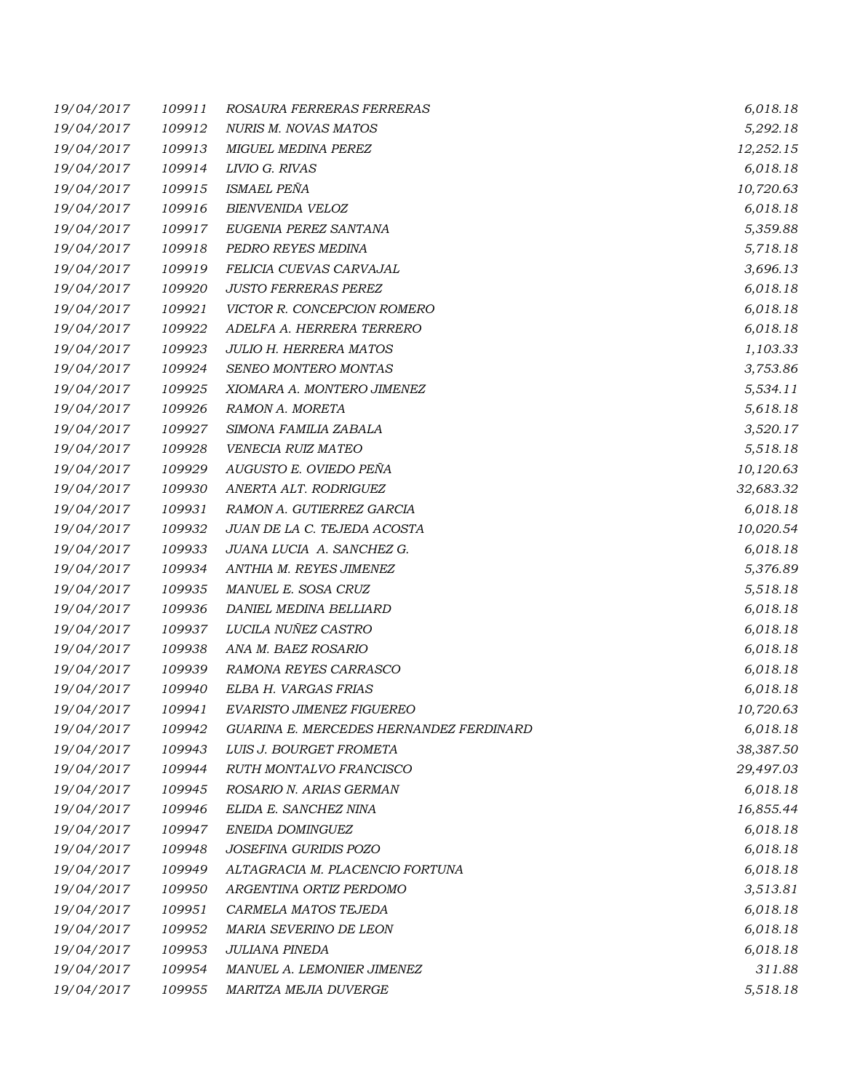| 19/04/2017 | 109911 | ROSAURA FERRERAS FERRERAS               | 6,018.18  |
|------------|--------|-----------------------------------------|-----------|
| 19/04/2017 | 109912 | NURIS M. NOVAS MATOS                    | 5,292.18  |
| 19/04/2017 | 109913 | MIGUEL MEDINA PEREZ                     | 12,252.15 |
| 19/04/2017 | 109914 | LIVIO G. RIVAS                          | 6,018.18  |
| 19/04/2017 | 109915 | ISMAEL PEÑA                             | 10,720.63 |
| 19/04/2017 | 109916 | BIENVENIDA VELOZ                        | 6,018.18  |
| 19/04/2017 | 109917 | EUGENIA PEREZ SANTANA                   | 5,359.88  |
| 19/04/2017 | 109918 | PEDRO REYES MEDINA                      | 5,718.18  |
| 19/04/2017 | 109919 | FELICIA CUEVAS CARVAJAL                 | 3,696.13  |
| 19/04/2017 | 109920 | <b>JUSTO FERRERAS PEREZ</b>             | 6,018.18  |
| 19/04/2017 | 109921 | VICTOR R. CONCEPCION ROMERO             | 6,018.18  |
| 19/04/2017 | 109922 | ADELFA A. HERRERA TERRERO               | 6,018.18  |
| 19/04/2017 | 109923 | <b>JULIO H. HERRERA MATOS</b>           | 1,103.33  |
| 19/04/2017 | 109924 | SENEO MONTERO MONTAS                    | 3,753.86  |
| 19/04/2017 | 109925 | XIOMARA A. MONTERO JIMENEZ              | 5,534.11  |
| 19/04/2017 | 109926 | RAMON A. MORETA                         | 5,618.18  |
| 19/04/2017 | 109927 | SIMONA FAMILIA ZABALA                   | 3,520.17  |
| 19/04/2017 | 109928 | VENECIA RUIZ MATEO                      | 5,518.18  |
| 19/04/2017 | 109929 | AUGUSTO E. OVIEDO PEÑA                  | 10,120.63 |
| 19/04/2017 | 109930 | ANERTA ALT. RODRIGUEZ                   | 32,683.32 |
| 19/04/2017 | 109931 | RAMON A. GUTIERREZ GARCIA               | 6,018.18  |
| 19/04/2017 | 109932 | JUAN DE LA C. TEJEDA ACOSTA             | 10,020.54 |
| 19/04/2017 | 109933 | JUANA LUCIA A. SANCHEZ G.               | 6,018.18  |
| 19/04/2017 | 109934 | ANTHIA M. REYES JIMENEZ                 | 5,376.89  |
| 19/04/2017 | 109935 | MANUEL E. SOSA CRUZ                     | 5,518.18  |
| 19/04/2017 | 109936 | DANIEL MEDINA BELLIARD                  | 6,018.18  |
| 19/04/2017 | 109937 | LUCILA NUÑEZ CASTRO                     | 6,018.18  |
| 19/04/2017 | 109938 | ANA M. BAEZ ROSARIO                     | 6,018.18  |
| 19/04/2017 | 109939 | RAMONA REYES CARRASCO                   | 6,018.18  |
| 19/04/2017 | 109940 | ELBA H. VARGAS FRIAS                    | 6,018.18  |
| 19/04/2017 | 109941 | EVARISTO JIMENEZ FIGUEREO               | 10,720.63 |
| 19/04/2017 | 109942 | GUARINA E. MERCEDES HERNANDEZ FERDINARD | 6,018.18  |
| 19/04/2017 | 109943 | LUIS J. BOURGET FROMETA                 | 38,387.50 |
| 19/04/2017 | 109944 | RUTH MONTALVO FRANCISCO                 | 29,497.03 |
| 19/04/2017 | 109945 | ROSARIO N. ARIAS GERMAN                 | 6,018.18  |
| 19/04/2017 | 109946 | ELIDA E. SANCHEZ NINA                   | 16,855.44 |
| 19/04/2017 | 109947 | ENEIDA DOMINGUEZ                        | 6,018.18  |
| 19/04/2017 | 109948 | JOSEFINA GURIDIS POZO                   | 6,018.18  |
| 19/04/2017 | 109949 | ALTAGRACIA M. PLACENCIO FORTUNA         | 6,018.18  |
| 19/04/2017 | 109950 | ARGENTINA ORTIZ PERDOMO                 | 3,513.81  |
| 19/04/2017 | 109951 | CARMELA MATOS TEJEDA                    | 6,018.18  |
| 19/04/2017 | 109952 | MARIA SEVERINO DE LEON                  | 6,018.18  |
| 19/04/2017 | 109953 | JULIANA PINEDA                          | 6,018.18  |
| 19/04/2017 | 109954 | MANUEL A. LEMONIER JIMENEZ              | 311.88    |
| 19/04/2017 | 109955 | MARITZA MEJIA DUVERGE                   | 5,518.18  |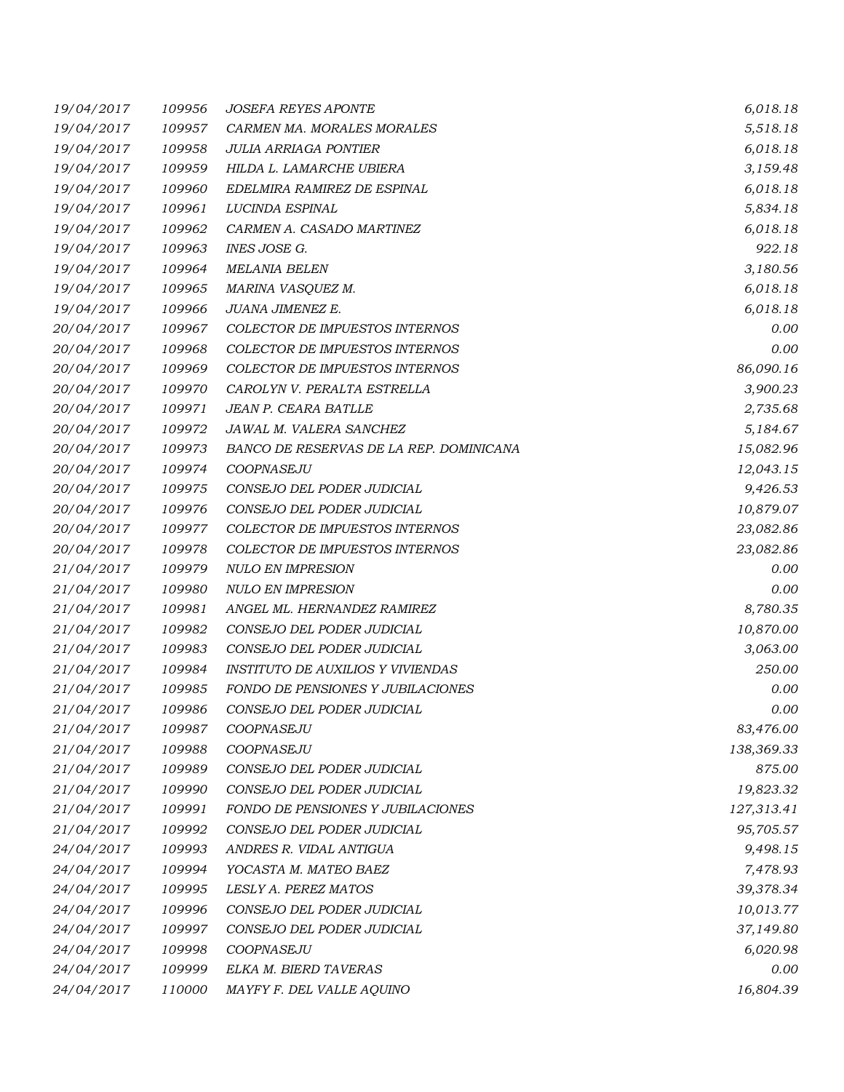| 19/04/2017 | 109956 | <i>JOSEFA REYES APONTE</i>               | 6,018.18   |
|------------|--------|------------------------------------------|------------|
| 19/04/2017 | 109957 | CARMEN MA. MORALES MORALES               | 5,518.18   |
| 19/04/2017 | 109958 | JULIA ARRIAGA PONTIER                    | 6,018.18   |
| 19/04/2017 | 109959 | HILDA L. LAMARCHE UBIERA                 | 3,159.48   |
| 19/04/2017 | 109960 | EDELMIRA RAMIREZ DE ESPINAL              | 6,018.18   |
| 19/04/2017 | 109961 | LUCINDA ESPINAL                          | 5,834.18   |
| 19/04/2017 | 109962 | CARMEN A. CASADO MARTINEZ                | 6,018.18   |
| 19/04/2017 | 109963 | INES JOSE G.                             | 922.18     |
| 19/04/2017 | 109964 | <b>MELANIA BELEN</b>                     | 3,180.56   |
| 19/04/2017 | 109965 | MARINA VASQUEZ M.                        | 6,018.18   |
| 19/04/2017 | 109966 | JUANA JIMENEZ E.                         | 6,018.18   |
| 20/04/2017 | 109967 | <b>COLECTOR DE IMPUESTOS INTERNOS</b>    | 0.00       |
| 20/04/2017 | 109968 | COLECTOR DE IMPUESTOS INTERNOS           | 0.00       |
| 20/04/2017 | 109969 | COLECTOR DE IMPUESTOS INTERNOS           | 86,090.16  |
| 20/04/2017 | 109970 | CAROLYN V. PERALTA ESTRELLA              | 3,900.23   |
| 20/04/2017 | 109971 | JEAN P. CEARA BATLLE                     | 2,735.68   |
| 20/04/2017 | 109972 | JAWAL M. VALERA SANCHEZ                  | 5,184.67   |
| 20/04/2017 | 109973 | BANCO DE RESERVAS DE LA REP. DOMINICANA  | 15,082.96  |
| 20/04/2017 | 109974 | COOPNASEJU                               | 12,043.15  |
| 20/04/2017 | 109975 | CONSEJO DEL PODER JUDICIAL               | 9,426.53   |
| 20/04/2017 | 109976 | CONSEJO DEL PODER JUDICIAL               | 10,879.07  |
| 20/04/2017 | 109977 | COLECTOR DE IMPUESTOS INTERNOS           | 23,082.86  |
| 20/04/2017 | 109978 | COLECTOR DE IMPUESTOS INTERNOS           | 23,082.86  |
| 21/04/2017 | 109979 | <b>NULO EN IMPRESION</b>                 | 0.00       |
| 21/04/2017 | 109980 | <b>NULO EN IMPRESION</b>                 | 0.00       |
| 21/04/2017 | 109981 | ANGEL ML. HERNANDEZ RAMIREZ              | 8,780.35   |
| 21/04/2017 | 109982 | CONSEJO DEL PODER JUDICIAL               | 10,870.00  |
| 21/04/2017 | 109983 | CONSEJO DEL PODER JUDICIAL               | 3,063.00   |
| 21/04/2017 | 109984 | <b>INSTITUTO DE AUXILIOS Y VIVIENDAS</b> | 250.00     |
| 21/04/2017 | 109985 | FONDO DE PENSIONES Y JUBILACIONES        | 0.00       |
| 21/04/2017 | 109986 | CONSEJO DEL PODER JUDICIAL               | 0.00       |
| 21/04/2017 | 109987 | COOPNASEJU                               | 83,476.00  |
| 21/04/2017 | 109988 | COOPNASEJU                               | 138,369.33 |
| 21/04/2017 | 109989 | CONSEJO DEL PODER JUDICIAL               | 875.00     |
| 21/04/2017 | 109990 | CONSEJO DEL PODER JUDICIAL               | 19,823.32  |
| 21/04/2017 | 109991 | FONDO DE PENSIONES Y JUBILACIONES        | 127,313.41 |
| 21/04/2017 | 109992 | CONSEJO DEL PODER JUDICIAL               | 95,705.57  |
| 24/04/2017 | 109993 | ANDRES R. VIDAL ANTIGUA                  | 9,498.15   |
| 24/04/2017 | 109994 | YOCASTA M. MATEO BAEZ                    | 7,478.93   |
| 24/04/2017 | 109995 | LESLY A. PEREZ MATOS                     | 39,378.34  |
| 24/04/2017 | 109996 | CONSEJO DEL PODER JUDICIAL               | 10,013.77  |
| 24/04/2017 | 109997 | CONSEJO DEL PODER JUDICIAL               | 37,149.80  |
| 24/04/2017 | 109998 | COOPNASEJU                               | 6,020.98   |
| 24/04/2017 | 109999 | ELKA M. BIERD TAVERAS                    | 0.00       |
| 24/04/2017 | 110000 | MAYFY F. DEL VALLE AQUINO                | 16,804.39  |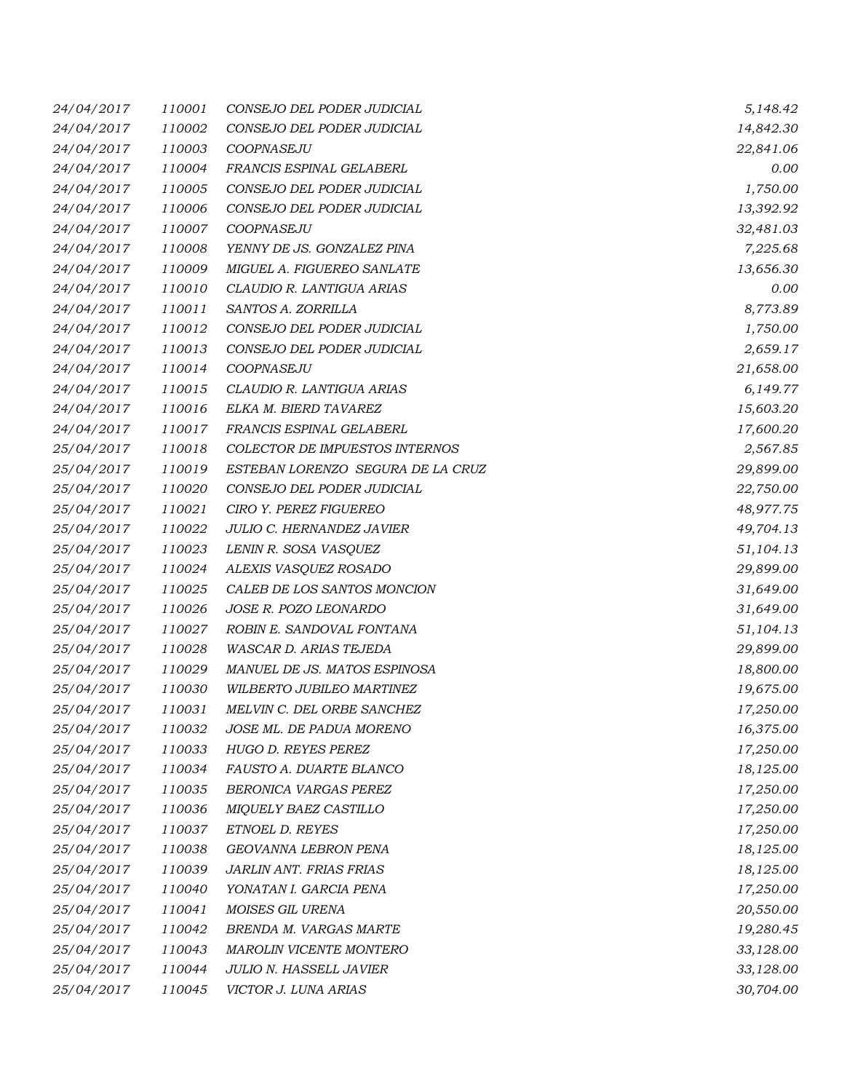| 24/04/2017 | 110001 | CONSEJO DEL PODER JUDICIAL        | 5,148.42  |
|------------|--------|-----------------------------------|-----------|
| 24/04/2017 | 110002 | CONSEJO DEL PODER JUDICIAL        | 14,842.30 |
| 24/04/2017 | 110003 | COOPNASEJU                        | 22,841.06 |
| 24/04/2017 | 110004 | FRANCIS ESPINAL GELABERL          | 0.00      |
| 24/04/2017 | 110005 | CONSEJO DEL PODER JUDICIAL        | 1,750.00  |
| 24/04/2017 | 110006 | CONSEJO DEL PODER JUDICIAL        | 13,392.92 |
| 24/04/2017 | 110007 | COOPNASEJU                        | 32,481.03 |
| 24/04/2017 | 110008 | YENNY DE JS. GONZALEZ PINA        | 7,225.68  |
| 24/04/2017 | 110009 | MIGUEL A. FIGUEREO SANLATE        | 13,656.30 |
| 24/04/2017 | 110010 | CLAUDIO R. LANTIGUA ARIAS         | 0.00      |
| 24/04/2017 | 110011 | SANTOS A. ZORRILLA                | 8,773.89  |
| 24/04/2017 | 110012 | CONSEJO DEL PODER JUDICIAL        | 1,750.00  |
| 24/04/2017 | 110013 | CONSEJO DEL PODER JUDICIAL        | 2,659.17  |
| 24/04/2017 | 110014 | COOPNASEJU                        | 21,658.00 |
| 24/04/2017 | 110015 | CLAUDIO R. LANTIGUA ARIAS         | 6,149.77  |
| 24/04/2017 | 110016 | ELKA M. BIERD TAVAREZ             | 15,603.20 |
| 24/04/2017 | 110017 | FRANCIS ESPINAL GELABERL          | 17,600.20 |
| 25/04/2017 | 110018 | COLECTOR DE IMPUESTOS INTERNOS    | 2,567.85  |
| 25/04/2017 | 110019 | ESTEBAN LORENZO SEGURA DE LA CRUZ | 29,899.00 |
| 25/04/2017 | 110020 | CONSEJO DEL PODER JUDICIAL        | 22,750.00 |
| 25/04/2017 | 110021 | CIRO Y. PEREZ FIGUEREO            | 48,977.75 |
| 25/04/2017 | 110022 | JULIO C. HERNANDEZ JAVIER         | 49,704.13 |
| 25/04/2017 | 110023 | LENIN R. SOSA VASQUEZ             | 51,104.13 |
| 25/04/2017 | 110024 | ALEXIS VASQUEZ ROSADO             | 29,899.00 |
| 25/04/2017 | 110025 | CALEB DE LOS SANTOS MONCION       | 31,649.00 |
| 25/04/2017 | 110026 | JOSE R. POZO LEONARDO             | 31,649.00 |
| 25/04/2017 | 110027 | ROBIN E. SANDOVAL FONTANA         | 51,104.13 |
| 25/04/2017 | 110028 | WASCAR D. ARIAS TEJEDA            | 29,899.00 |
| 25/04/2017 | 110029 | MANUEL DE JS. MATOS ESPINOSA      | 18,800.00 |
| 25/04/2017 | 110030 | WILBERTO JUBILEO MARTINEZ         | 19,675.00 |
| 25/04/2017 | 110031 | MELVIN C. DEL ORBE SANCHEZ        | 17,250.00 |
| 25/04/2017 | 110032 | JOSE ML. DE PADUA MORENO          | 16,375.00 |
| 25/04/2017 | 110033 | HUGO D. REYES PEREZ               | 17,250.00 |
| 25/04/2017 | 110034 | FAUSTO A. DUARTE BLANCO           | 18,125.00 |
| 25/04/2017 | 110035 | BERONICA VARGAS PEREZ             | 17,250.00 |
| 25/04/2017 | 110036 | MIQUELY BAEZ CASTILLO             | 17,250.00 |
| 25/04/2017 | 110037 | ETNOEL D. REYES                   | 17,250.00 |
| 25/04/2017 | 110038 | GEOVANNA LEBRON PENA              | 18,125.00 |
| 25/04/2017 | 110039 | JARLIN ANT. FRIAS FRIAS           | 18,125.00 |
| 25/04/2017 | 110040 | YONATAN I. GARCIA PENA            | 17,250.00 |
| 25/04/2017 | 110041 | MOISES GIL URENA                  | 20,550.00 |
| 25/04/2017 | 110042 | BRENDA M. VARGAS MARTE            | 19,280.45 |
| 25/04/2017 | 110043 | MAROLIN VICENTE MONTERO           | 33,128.00 |
| 25/04/2017 | 110044 | JULIO N. HASSELL JAVIER           | 33,128.00 |
| 25/04/2017 | 110045 | VICTOR J. LUNA ARIAS              | 30,704.00 |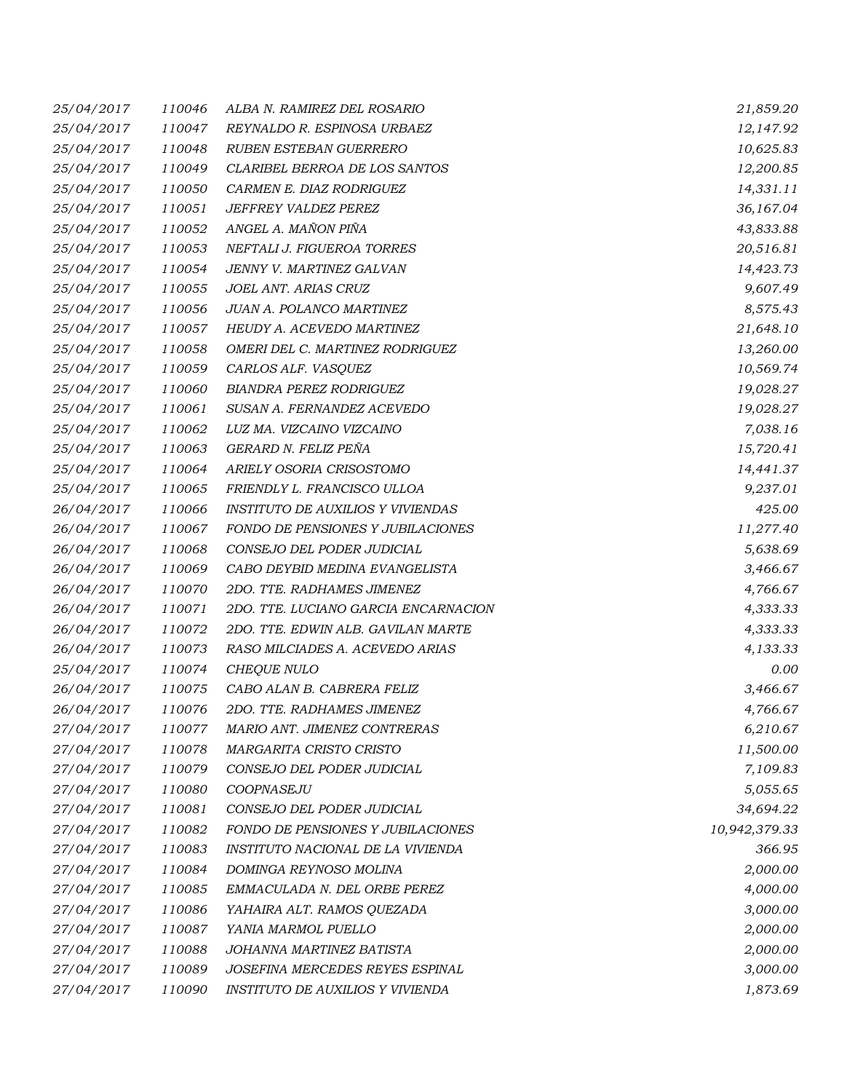| 25/04/2017 | 110046 | ALBA N. RAMIREZ DEL ROSARIO              | 21,859.20     |
|------------|--------|------------------------------------------|---------------|
| 25/04/2017 | 110047 | REYNALDO R. ESPINOSA URBAEZ              | 12,147.92     |
| 25/04/2017 | 110048 | RUBEN ESTEBAN GUERRERO                   | 10,625.83     |
| 25/04/2017 | 110049 | CLARIBEL BERROA DE LOS SANTOS            | 12,200.85     |
| 25/04/2017 | 110050 | CARMEN E. DIAZ RODRIGUEZ                 | 14,331.11     |
| 25/04/2017 | 110051 | JEFFREY VALDEZ PEREZ                     | 36,167.04     |
| 25/04/2017 | 110052 | ANGEL A. MAÑON PIÑA                      | 43,833.88     |
| 25/04/2017 | 110053 | NEFTALI J. FIGUEROA TORRES               | 20,516.81     |
| 25/04/2017 | 110054 | JENNY V. MARTINEZ GALVAN                 | 14,423.73     |
| 25/04/2017 | 110055 | JOEL ANT. ARIAS CRUZ                     | 9,607.49      |
| 25/04/2017 | 110056 | JUAN A. POLANCO MARTINEZ                 | 8,575.43      |
| 25/04/2017 | 110057 | HEUDY A. ACEVEDO MARTINEZ                | 21,648.10     |
| 25/04/2017 | 110058 | OMERI DEL C. MARTINEZ RODRIGUEZ          | 13,260.00     |
| 25/04/2017 | 110059 | CARLOS ALF. VASQUEZ                      | 10,569.74     |
| 25/04/2017 | 110060 | <b>BIANDRA PEREZ RODRIGUEZ</b>           | 19,028.27     |
| 25/04/2017 | 110061 | SUSAN A. FERNANDEZ ACEVEDO               | 19,028.27     |
| 25/04/2017 | 110062 | LUZ MA. VIZCAINO VIZCAINO                | 7,038.16      |
| 25/04/2017 | 110063 | GERARD N. FELIZ PEÑA                     | 15,720.41     |
| 25/04/2017 | 110064 | ARIELY OSORIA CRISOSTOMO                 | 14,441.37     |
| 25/04/2017 | 110065 | FRIENDLY L. FRANCISCO ULLOA              | 9,237.01      |
| 26/04/2017 | 110066 | <b>INSTITUTO DE AUXILIOS Y VIVIENDAS</b> | 425.00        |
| 26/04/2017 | 110067 | FONDO DE PENSIONES Y JUBILACIONES        | 11,277.40     |
| 26/04/2017 | 110068 | CONSEJO DEL PODER JUDICIAL               | 5,638.69      |
| 26/04/2017 | 110069 | CABO DEYBID MEDINA EVANGELISTA           | 3,466.67      |
| 26/04/2017 | 110070 | 2DO. TTE. RADHAMES JIMENEZ               | 4,766.67      |
| 26/04/2017 | 110071 | 2DO. TTE. LUCIANO GARCIA ENCARNACION     | 4,333.33      |
| 26/04/2017 | 110072 | 2DO. TTE. EDWIN ALB. GAVILAN MARTE       | 4,333.33      |
| 26/04/2017 | 110073 | RASO MILCIADES A. ACEVEDO ARIAS          | 4,133.33      |
| 25/04/2017 | 110074 | CHEQUE NULO                              | 0.00          |
| 26/04/2017 | 110075 | CABO ALAN B. CABRERA FELIZ               | 3,466.67      |
| 26/04/2017 | 110076 | 2DO. TTE. RADHAMES JIMENEZ               | 4,766.67      |
| 27/04/2017 | 110077 | MARIO ANT. JIMENEZ CONTRERAS             | 6,210.67      |
| 27/04/2017 | 110078 | MARGARITA CRISTO CRISTO                  | 11,500.00     |
| 27/04/2017 | 110079 | CONSEJO DEL PODER JUDICIAL               | 7,109.83      |
| 27/04/2017 | 110080 | COOPNASEJU                               | 5,055.65      |
| 27/04/2017 | 110081 | CONSEJO DEL PODER JUDICIAL               | 34,694.22     |
| 27/04/2017 | 110082 | <b>FONDO DE PENSIONES Y JUBILACIONES</b> | 10,942,379.33 |
| 27/04/2017 | 110083 | INSTITUTO NACIONAL DE LA VIVIENDA        | 366.95        |
| 27/04/2017 | 110084 | DOMINGA REYNOSO MOLINA                   | 2,000.00      |
| 27/04/2017 | 110085 | EMMACULADA N. DEL ORBE PEREZ             | 4,000.00      |
| 27/04/2017 | 110086 | YAHAIRA ALT. RAMOS QUEZADA               | 3,000.00      |
| 27/04/2017 | 110087 | YANIA MARMOL PUELLO                      | 2,000.00      |
| 27/04/2017 | 110088 | JOHANNA MARTINEZ BATISTA                 | 2,000.00      |
| 27/04/2017 | 110089 | JOSEFINA MERCEDES REYES ESPINAL          | 3,000.00      |
| 27/04/2017 | 110090 | INSTITUTO DE AUXILIOS Y VIVIENDA         | 1,873.69      |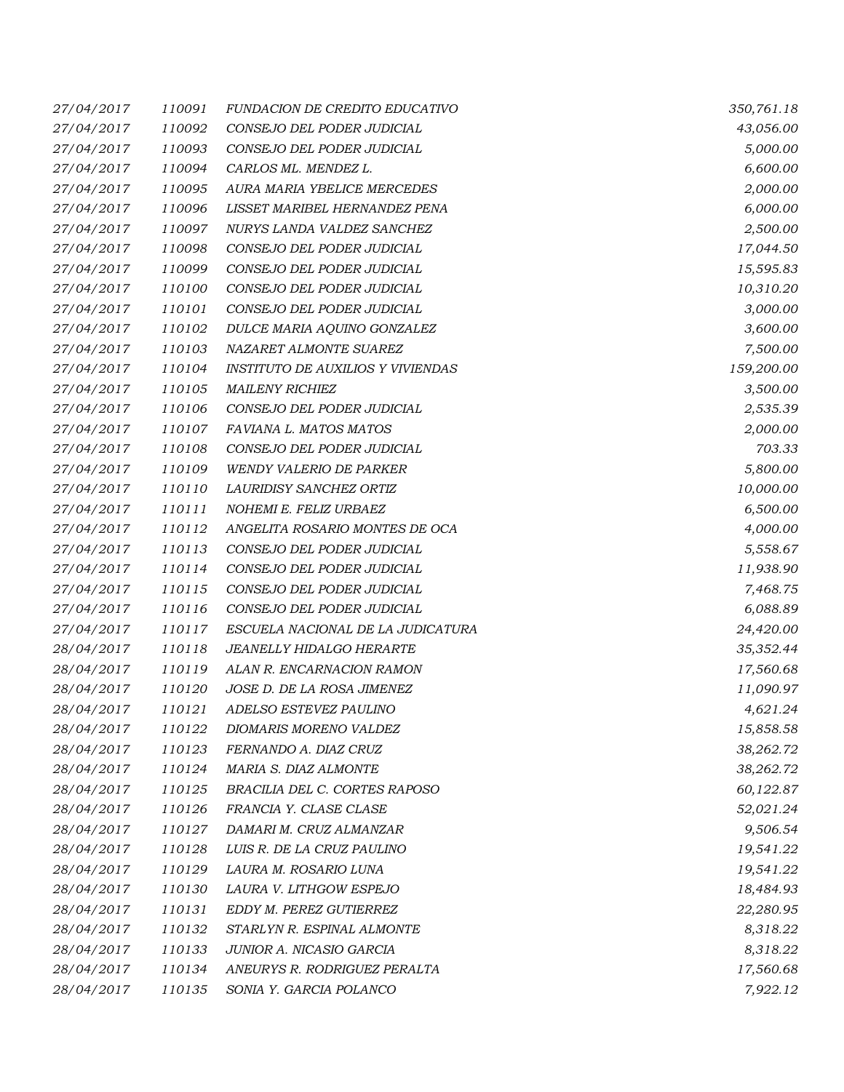| 27/04/2017 | 110091 | FUNDACION DE CREDITO EDUCATIVO           | 350,761.18 |
|------------|--------|------------------------------------------|------------|
| 27/04/2017 | 110092 | CONSEJO DEL PODER JUDICIAL               | 43,056.00  |
| 27/04/2017 | 110093 | CONSEJO DEL PODER JUDICIAL               | 5,000.00   |
| 27/04/2017 | 110094 | CARLOS ML. MENDEZ L.                     | 6,600.00   |
| 27/04/2017 | 110095 | AURA MARIA YBELICE MERCEDES              | 2,000.00   |
| 27/04/2017 | 110096 | LISSET MARIBEL HERNANDEZ PENA            | 6,000.00   |
| 27/04/2017 | 110097 | NURYS LANDA VALDEZ SANCHEZ               | 2,500.00   |
| 27/04/2017 | 110098 | CONSEJO DEL PODER JUDICIAL               | 17,044.50  |
| 27/04/2017 | 110099 | CONSEJO DEL PODER JUDICIAL               | 15,595.83  |
| 27/04/2017 | 110100 | CONSEJO DEL PODER JUDICIAL               | 10,310.20  |
| 27/04/2017 | 110101 | CONSEJO DEL PODER JUDICIAL               | 3,000.00   |
| 27/04/2017 | 110102 | DULCE MARIA AQUINO GONZALEZ              | 3,600.00   |
| 27/04/2017 | 110103 | NAZARET ALMONTE SUAREZ                   | 7,500.00   |
| 27/04/2017 | 110104 | <b>INSTITUTO DE AUXILIOS Y VIVIENDAS</b> | 159,200.00 |
| 27/04/2017 | 110105 | <b>MAILENY RICHIEZ</b>                   | 3,500.00   |
| 27/04/2017 | 110106 | CONSEJO DEL PODER JUDICIAL               | 2,535.39   |
| 27/04/2017 | 110107 | FAVIANA L. MATOS MATOS                   | 2,000.00   |
| 27/04/2017 | 110108 | CONSEJO DEL PODER JUDICIAL               | 703.33     |
| 27/04/2017 | 110109 | <b>WENDY VALERIO DE PARKER</b>           | 5,800.00   |
| 27/04/2017 | 110110 | LAURIDISY SANCHEZ ORTIZ                  | 10,000.00  |
| 27/04/2017 | 110111 | NOHEMI E. FELIZ URBAEZ                   | 6,500.00   |
| 27/04/2017 | 110112 | ANGELITA ROSARIO MONTES DE OCA           | 4,000.00   |
| 27/04/2017 | 110113 | CONSEJO DEL PODER JUDICIAL               | 5,558.67   |
| 27/04/2017 | 110114 | CONSEJO DEL PODER JUDICIAL               | 11,938.90  |
| 27/04/2017 | 110115 | CONSEJO DEL PODER JUDICIAL               | 7,468.75   |
| 27/04/2017 | 110116 | CONSEJO DEL PODER JUDICIAL               | 6,088.89   |
| 27/04/2017 | 110117 | ESCUELA NACIONAL DE LA JUDICATURA        | 24,420.00  |
| 28/04/2017 | 110118 | JEANELLY HIDALGO HERARTE                 | 35,352.44  |
| 28/04/2017 | 110119 | ALAN R. ENCARNACION RAMON                | 17,560.68  |
| 28/04/2017 | 110120 | JOSE D. DE LA ROSA JIMENEZ               | 11,090.97  |
| 28/04/2017 | 110121 | ADELSO ESTEVEZ PAULINO                   | 4,621.24   |
| 28/04/2017 | 110122 | DIOMARIS MORENO VALDEZ                   | 15,858.58  |
| 28/04/2017 | 110123 | FERNANDO A. DIAZ CRUZ                    | 38,262.72  |
| 28/04/2017 | 110124 | MARIA S. DIAZ ALMONTE                    | 38,262.72  |
| 28/04/2017 | 110125 | BRACILIA DEL C. CORTES RAPOSO            | 60,122.87  |
| 28/04/2017 | 110126 | FRANCIA Y. CLASE CLASE                   | 52,021.24  |
| 28/04/2017 | 110127 | DAMARI M. CRUZ ALMANZAR                  | 9,506.54   |
| 28/04/2017 | 110128 | LUIS R. DE LA CRUZ PAULINO               | 19,541.22  |
| 28/04/2017 | 110129 | LAURA M. ROSARIO LUNA                    | 19,541.22  |
| 28/04/2017 | 110130 | LAURA V. LITHGOW ESPEJO                  | 18,484.93  |
| 28/04/2017 | 110131 | EDDY M. PEREZ GUTIERREZ                  | 22,280.95  |
| 28/04/2017 | 110132 | STARLYN R. ESPINAL ALMONTE               | 8,318.22   |
| 28/04/2017 | 110133 | JUNIOR A. NICASIO GARCIA                 | 8,318.22   |
| 28/04/2017 | 110134 | ANEURYS R. RODRIGUEZ PERALTA             | 17,560.68  |
| 28/04/2017 | 110135 | SONIA Y. GARCIA POLANCO                  | 7,922.12   |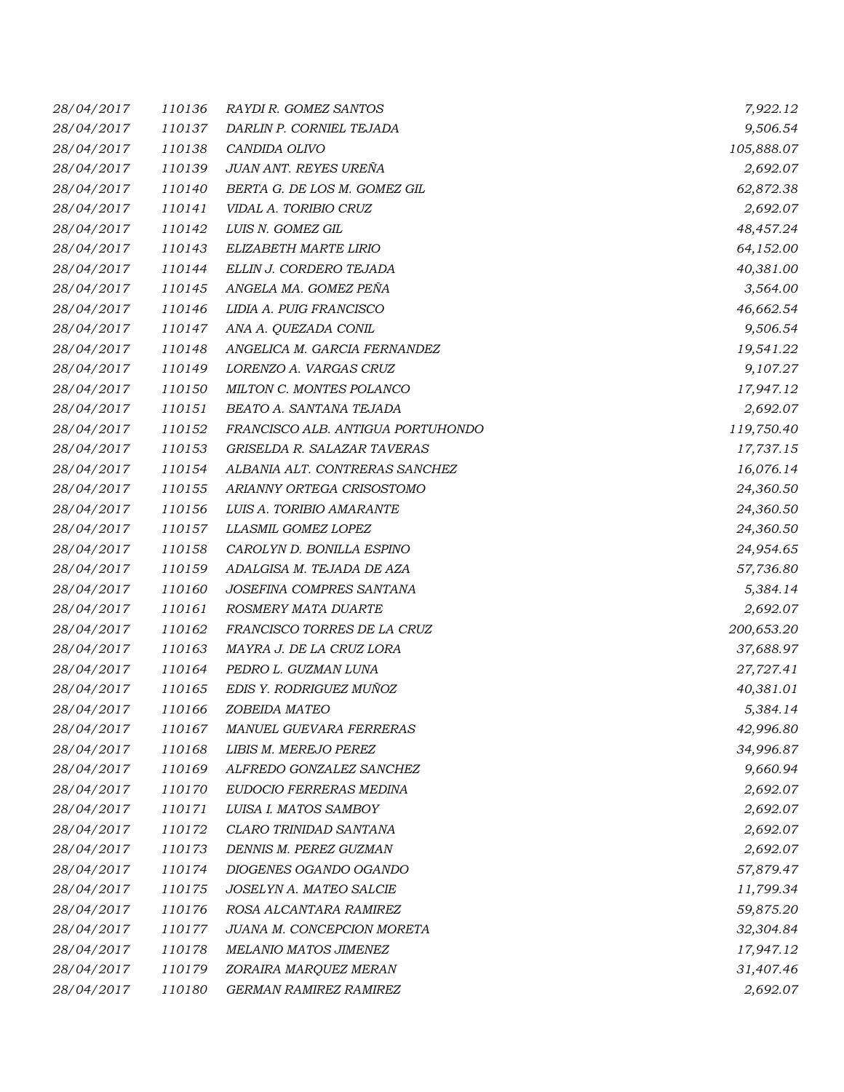| 28/04/2017 | 110136 | RAYDI R. GOMEZ SANTOS             | 7,922.12   |
|------------|--------|-----------------------------------|------------|
| 28/04/2017 | 110137 | DARLIN P. CORNIEL TEJADA          | 9,506.54   |
| 28/04/2017 | 110138 | CANDIDA OLIVO                     | 105,888.07 |
| 28/04/2017 | 110139 | JUAN ANT. REYES UREÑA             | 2,692.07   |
| 28/04/2017 | 110140 | BERTA G. DE LOS M. GOMEZ GIL      | 62,872.38  |
| 28/04/2017 | 110141 | VIDAL A. TORIBIO CRUZ             | 2,692.07   |
| 28/04/2017 | 110142 | LUIS N. GOMEZ GIL                 | 48,457.24  |
| 28/04/2017 | 110143 | ELIZABETH MARTE LIRIO             | 64,152.00  |
| 28/04/2017 | 110144 | ELLIN J. CORDERO TEJADA           | 40,381.00  |
| 28/04/2017 | 110145 | ANGELA MA. GOMEZ PEÑA             | 3,564.00   |
| 28/04/2017 | 110146 | LIDIA A. PUIG FRANCISCO           | 46,662.54  |
| 28/04/2017 | 110147 | ANA A. QUEZADA CONIL              | 9,506.54   |
| 28/04/2017 | 110148 | ANGELICA M. GARCIA FERNANDEZ      | 19,541.22  |
| 28/04/2017 | 110149 | LORENZO A. VARGAS CRUZ            | 9,107.27   |
| 28/04/2017 | 110150 | MILTON C. MONTES POLANCO          | 17,947.12  |
| 28/04/2017 | 110151 | BEATO A. SANTANA TEJADA           | 2,692.07   |
| 28/04/2017 | 110152 | FRANCISCO ALB. ANTIGUA PORTUHONDO | 119,750.40 |
| 28/04/2017 | 110153 | GRISELDA R. SALAZAR TAVERAS       | 17,737.15  |
| 28/04/2017 | 110154 | ALBANIA ALT. CONTRERAS SANCHEZ    | 16,076.14  |
| 28/04/2017 | 110155 | ARIANNY ORTEGA CRISOSTOMO         | 24,360.50  |
| 28/04/2017 | 110156 | LUIS A. TORIBIO AMARANTE          | 24,360.50  |
| 28/04/2017 | 110157 | LLASMIL GOMEZ LOPEZ               | 24,360.50  |
| 28/04/2017 | 110158 | CAROLYN D. BONILLA ESPINO         | 24,954.65  |
| 28/04/2017 | 110159 | ADALGISA M. TEJADA DE AZA         | 57,736.80  |
| 28/04/2017 | 110160 | JOSEFINA COMPRES SANTANA          | 5,384.14   |
| 28/04/2017 | 110161 | ROSMERY MATA DUARTE               | 2,692.07   |
| 28/04/2017 | 110162 | FRANCISCO TORRES DE LA CRUZ       | 200,653.20 |
| 28/04/2017 | 110163 | MAYRA J. DE LA CRUZ LORA          | 37,688.97  |
| 28/04/2017 | 110164 | PEDRO L. GUZMAN LUNA              | 27,727.41  |
| 28/04/2017 | 110165 | EDIS Y. RODRIGUEZ MUÑOZ           | 40,381.01  |
| 28/04/2017 | 110166 | ZOBEIDA MATEO                     | 5,384.14   |
| 28/04/2017 | 110167 | <b>MANUEL GUEVARA FERRERAS</b>    | 42,996.80  |
| 28/04/2017 | 110168 | LIBIS M. MEREJO PEREZ             | 34,996.87  |
| 28/04/2017 | 110169 | ALFREDO GONZALEZ SANCHEZ          | 9,660.94   |
| 28/04/2017 | 110170 | EUDOCIO FERRERAS MEDINA           | 2,692.07   |
| 28/04/2017 | 110171 | LUISA I. MATOS SAMBOY             | 2,692.07   |
| 28/04/2017 | 110172 | CLARO TRINIDAD SANTANA            | 2,692.07   |
| 28/04/2017 | 110173 | DENNIS M. PEREZ GUZMAN            | 2,692.07   |
| 28/04/2017 | 110174 | DIOGENES OGANDO OGANDO            | 57,879.47  |
| 28/04/2017 | 110175 | JOSELYN A. MATEO SALCIE           | 11,799.34  |
| 28/04/2017 | 110176 | ROSA ALCANTARA RAMIREZ            | 59,875.20  |
| 28/04/2017 | 110177 | JUANA M. CONCEPCION MORETA        | 32,304.84  |
| 28/04/2017 | 110178 | MELANIO MATOS JIMENEZ             | 17,947.12  |
| 28/04/2017 | 110179 | ZORAIRA MARQUEZ MERAN             | 31,407.46  |
| 28/04/2017 | 110180 | GERMAN RAMIREZ RAMIREZ            | 2,692.07   |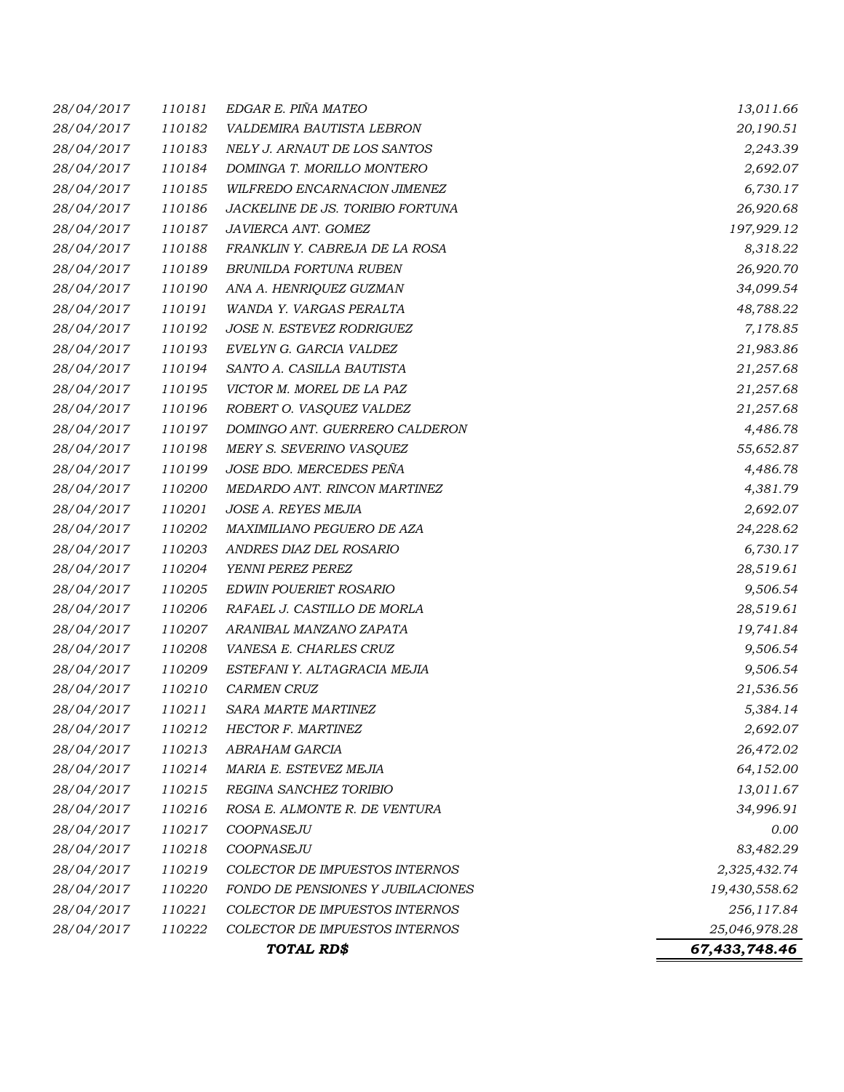| 28/04/2017 | 110181 | EDGAR E. PIÑA MATEO                      | 13,011.66     |
|------------|--------|------------------------------------------|---------------|
| 28/04/2017 | 110182 | VALDEMIRA BAUTISTA LEBRON                | 20,190.51     |
| 28/04/2017 | 110183 | NELY J. ARNAUT DE LOS SANTOS             | 2,243.39      |
| 28/04/2017 | 110184 | DOMINGA T. MORILLO MONTERO               | 2,692.07      |
| 28/04/2017 | 110185 | WILFREDO ENCARNACION JIMENEZ             | 6,730.17      |
| 28/04/2017 | 110186 | JACKELINE DE JS. TORIBIO FORTUNA         | 26,920.68     |
| 28/04/2017 | 110187 | JAVIERCA ANT. GOMEZ                      | 197,929.12    |
| 28/04/2017 | 110188 | FRANKLIN Y. CABREJA DE LA ROSA           | 8,318.22      |
| 28/04/2017 | 110189 | BRUNILDA FORTUNA RUBEN                   | 26,920.70     |
| 28/04/2017 | 110190 | ANA A. HENRIQUEZ GUZMAN                  | 34,099.54     |
| 28/04/2017 | 110191 | WANDA Y. VARGAS PERALTA                  | 48,788.22     |
| 28/04/2017 | 110192 | JOSE N. ESTEVEZ RODRIGUEZ                | 7,178.85      |
| 28/04/2017 | 110193 | EVELYN G. GARCIA VALDEZ                  | 21,983.86     |
| 28/04/2017 | 110194 | SANTO A. CASILLA BAUTISTA                | 21,257.68     |
| 28/04/2017 | 110195 | VICTOR M. MOREL DE LA PAZ                | 21,257.68     |
| 28/04/2017 | 110196 | ROBERT O. VASQUEZ VALDEZ                 | 21,257.68     |
| 28/04/2017 | 110197 | DOMINGO ANT. GUERRERO CALDERON           | 4,486.78      |
| 28/04/2017 | 110198 | MERY S. SEVERINO VASQUEZ                 | 55,652.87     |
| 28/04/2017 | 110199 | JOSE BDO. MERCEDES PEÑA                  | 4,486.78      |
| 28/04/2017 | 110200 | MEDARDO ANT. RINCON MARTINEZ             | 4,381.79      |
| 28/04/2017 | 110201 | JOSE A. REYES MEJIA                      | 2,692.07      |
| 28/04/2017 | 110202 | MAXIMILIANO PEGUERO DE AZA               | 24,228.62     |
| 28/04/2017 | 110203 | ANDRES DIAZ DEL ROSARIO                  | 6,730.17      |
| 28/04/2017 | 110204 | YENNI PEREZ PEREZ                        | 28,519.61     |
| 28/04/2017 | 110205 | EDWIN POUERIET ROSARIO                   | 9,506.54      |
| 28/04/2017 | 110206 | RAFAEL J. CASTILLO DE MORLA              | 28,519.61     |
| 28/04/2017 | 110207 | ARANIBAL MANZANO ZAPATA                  | 19,741.84     |
| 28/04/2017 | 110208 | VANESA E. CHARLES CRUZ                   | 9,506.54      |
| 28/04/2017 | 110209 | ESTEFANI Y. ALTAGRACIA MEJIA             | 9,506.54      |
| 28/04/2017 | 110210 | <b>CARMEN CRUZ</b>                       | 21,536.56     |
| 28/04/2017 | 110211 | SARA MARTE MARTINEZ                      | 5,384.14      |
| 28/04/2017 | 110212 | HECTOR F. MARTINEZ                       | 2,692.07      |
| 28/04/2017 | 110213 | ABRAHAM GARCIA                           | 26,472.02     |
| 28/04/2017 | 110214 | MARIA E. ESTEVEZ MEJIA                   | 64,152.00     |
| 28/04/2017 | 110215 | REGINA SANCHEZ TORIBIO                   | 13,011.67     |
| 28/04/2017 | 110216 | ROSA E. ALMONTE R. DE VENTURA            | 34,996.91     |
| 28/04/2017 | 110217 | COOPNASEJU                               | 0.00          |
| 28/04/2017 | 110218 | COOPNASEJU                               | 83,482.29     |
| 28/04/2017 | 110219 | COLECTOR DE IMPUESTOS INTERNOS           | 2,325,432.74  |
| 28/04/2017 | 110220 | <b>FONDO DE PENSIONES Y JUBILACIONES</b> | 19,430,558.62 |
| 28/04/2017 | 110221 | <b>COLECTOR DE IMPUESTOS INTERNOS</b>    | 256,117.84    |
| 28/04/2017 | 110222 | COLECTOR DE IMPUESTOS INTERNOS           | 25,046,978.28 |
|            |        | TOTAL RD\$                               | 67,433,748.46 |